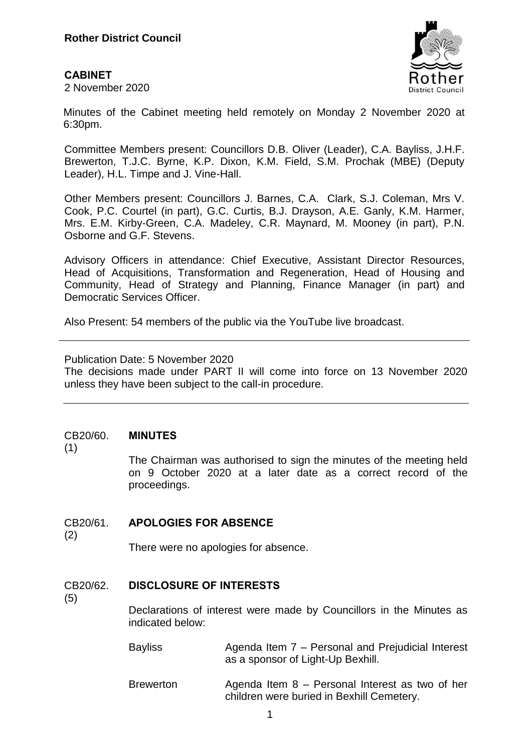### **CABINET**

2 November 2020



Minutes of the Cabinet meeting held remotely on Monday 2 November 2020 at 6:30pm.

Committee Members present: Councillors D.B. Oliver (Leader), C.A. Bayliss, J.H.F. Brewerton, T.J.C. Byrne, K.P. Dixon, K.M. Field, S.M. Prochak (MBE) (Deputy Leader), H.L. Timpe and J. Vine-Hall.

Other Members present: Councillors J. Barnes, C.A. Clark, S.J. Coleman, Mrs V. Cook, P.C. Courtel (in part), G.C. Curtis, B.J. Drayson, A.E. Ganly, K.M. Harmer, Mrs. E.M. Kirby-Green, C.A. Madeley, C.R. Maynard, M. Mooney (in part), P.N. Osborne and G.F. Stevens.

Advisory Officers in attendance: Chief Executive, Assistant Director Resources, Head of Acquisitions, Transformation and Regeneration, Head of Housing and Community, Head of Strategy and Planning, Finance Manager (in part) and Democratic Services Officer.

Also Present: 54 members of the public via the YouTube live broadcast.

Publication Date: 5 November 2020

The decisions made under PART II will come into force on 13 November 2020 unless they have been subject to the call-in procedure.

### CB20/60. **MINUTES**

(1)

The Chairman was authorised to sign the minutes of the meeting held on 9 October 2020 at a later date as a correct record of the proceedings.

## CB20/61. **APOLOGIES FOR ABSENCE**

(2)

There were no apologies for absence.

## CB20/62. **DISCLOSURE OF INTERESTS**

(5)

Declarations of interest were made by Councillors in the Minutes as indicated below:

Bayliss **Agenda Item 7 – Personal and Prejudicial Interest** as a sponsor of Light-Up Bexhill.

Brewerton Agenda Item 8 – Personal Interest as two of her children were buried in Bexhill Cemetery.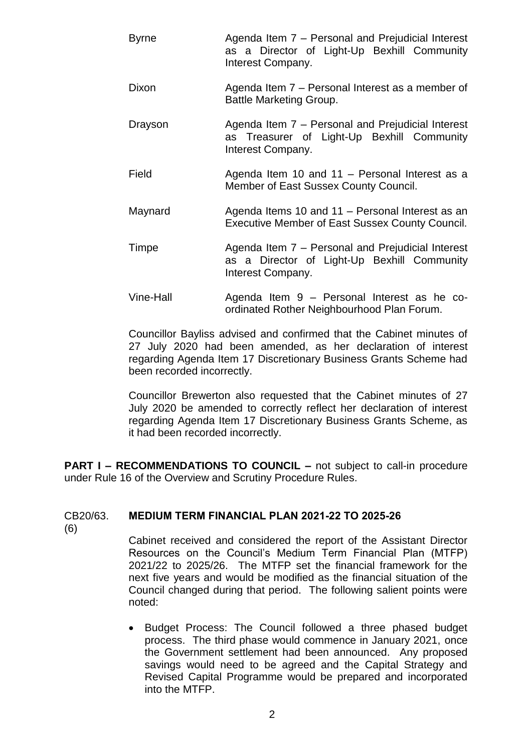| <b>Byrne</b> | Agenda Item 7 – Personal and Prejudicial Interest<br>as a Director of Light-Up Bexhill Community<br>Interest Company. |
|--------------|-----------------------------------------------------------------------------------------------------------------------|
| Dixon        | Agenda Item 7 – Personal Interest as a member of<br><b>Battle Marketing Group.</b>                                    |
| Drayson      | Agenda Item 7 – Personal and Prejudicial Interest<br>as Treasurer of Light-Up Bexhill Community<br>Interest Company.  |
| Field        | Agenda Item 10 and 11 - Personal Interest as a<br>Member of East Sussex County Council.                               |
| Maynard      | Agenda Items 10 and 11 - Personal Interest as an<br><b>Executive Member of East Sussex County Council.</b>            |
| Timpe        | Agenda Item 7 – Personal and Prejudicial Interest<br>as a Director of Light-Up Bexhill Community<br>Interest Company. |
| Vine-Hall    | Agenda Item 9 - Personal Interest as he co-<br>ordinated Rother Neighbourhood Plan Forum.                             |

Councillor Bayliss advised and confirmed that the Cabinet minutes of 27 July 2020 had been amended, as her declaration of interest regarding Agenda Item 17 Discretionary Business Grants Scheme had been recorded incorrectly.

Councillor Brewerton also requested that the Cabinet minutes of 27 July 2020 be amended to correctly reflect her declaration of interest regarding Agenda Item 17 Discretionary Business Grants Scheme, as it had been recorded incorrectly.

**PART I – RECOMMENDATIONS TO COUNCIL –** not subject to call-in procedure under Rule 16 of the Overview and Scrutiny Procedure Rules.

## CB20/63. **MEDIUM TERM FINANCIAL PLAN 2021-22 TO 2025-26**

(6)

Cabinet received and considered the report of the Assistant Director Resources on the Council's Medium Term Financial Plan (MTFP) 2021/22 to 2025/26. The MTFP set the financial framework for the next five years and would be modified as the financial situation of the Council changed during that period. The following salient points were noted:

• Budget Process: The Council followed a three phased budget process. The third phase would commence in January 2021, once the Government settlement had been announced. Any proposed savings would need to be agreed and the Capital Strategy and Revised Capital Programme would be prepared and incorporated into the MTFP.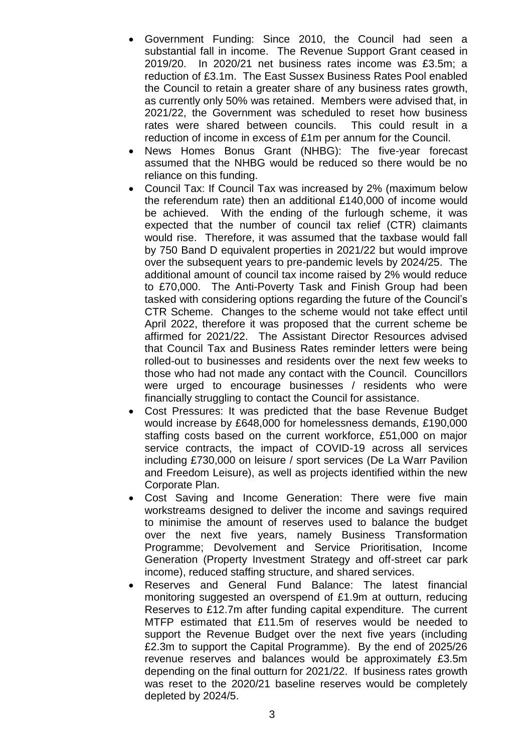- Government Funding: Since 2010, the Council had seen a substantial fall in income. The Revenue Support Grant ceased in 2019/20. In 2020/21 net business rates income was £3.5m; a reduction of £3.1m. The East Sussex Business Rates Pool enabled the Council to retain a greater share of any business rates growth, as currently only 50% was retained. Members were advised that, in 2021/22, the Government was scheduled to reset how business rates were shared between councils. This could result in a reduction of income in excess of £1m per annum for the Council.
- News Homes Bonus Grant (NHBG): The five-year forecast assumed that the NHBG would be reduced so there would be no reliance on this funding.
- Council Tax: If Council Tax was increased by 2% (maximum below the referendum rate) then an additional £140,000 of income would be achieved. With the ending of the furlough scheme, it was expected that the number of council tax relief (CTR) claimants would rise. Therefore, it was assumed that the taxbase would fall by 750 Band D equivalent properties in 2021/22 but would improve over the subsequent years to pre-pandemic levels by 2024/25. The additional amount of council tax income raised by 2% would reduce to £70,000. The Anti-Poverty Task and Finish Group had been tasked with considering options regarding the future of the Council's CTR Scheme. Changes to the scheme would not take effect until April 2022, therefore it was proposed that the current scheme be affirmed for 2021/22. The Assistant Director Resources advised that Council Tax and Business Rates reminder letters were being rolled-out to businesses and residents over the next few weeks to those who had not made any contact with the Council. Councillors were urged to encourage businesses / residents who were financially struggling to contact the Council for assistance.
- Cost Pressures: It was predicted that the base Revenue Budget would increase by £648,000 for homelessness demands, £190,000 staffing costs based on the current workforce, £51,000 on major service contracts, the impact of COVID-19 across all services including £730,000 on leisure / sport services (De La Warr Pavilion and Freedom Leisure), as well as projects identified within the new Corporate Plan.
- Cost Saving and Income Generation: There were five main workstreams designed to deliver the income and savings required to minimise the amount of reserves used to balance the budget over the next five years, namely Business Transformation Programme; Devolvement and Service Prioritisation, Income Generation (Property Investment Strategy and off-street car park income), reduced staffing structure, and shared services.
- Reserves and General Fund Balance: The latest financial monitoring suggested an overspend of £1.9m at outturn, reducing Reserves to £12.7m after funding capital expenditure. The current MTFP estimated that £11.5m of reserves would be needed to support the Revenue Budget over the next five years (including £2.3m to support the Capital Programme). By the end of 2025/26 revenue reserves and balances would be approximately £3.5m depending on the final outturn for 2021/22. If business rates growth was reset to the 2020/21 baseline reserves would be completely depleted by 2024/5.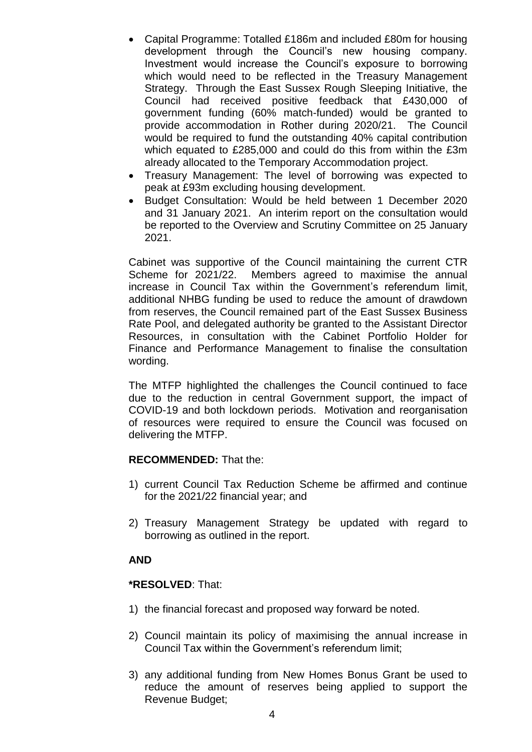- Capital Programme: Totalled £186m and included £80m for housing development through the Council's new housing company. Investment would increase the Council's exposure to borrowing which would need to be reflected in the Treasury Management Strategy. Through the East Sussex Rough Sleeping Initiative, the Council had received positive feedback that £430,000 of government funding (60% match-funded) would be granted to provide accommodation in Rother during 2020/21. The Council would be required to fund the outstanding 40% capital contribution which equated to £285,000 and could do this from within the £3m already allocated to the Temporary Accommodation project.
- Treasury Management: The level of borrowing was expected to peak at £93m excluding housing development.
- Budget Consultation: Would be held between 1 December 2020 and 31 January 2021. An interim report on the consultation would be reported to the Overview and Scrutiny Committee on 25 January 2021.

Cabinet was supportive of the Council maintaining the current CTR Scheme for 2021/22. Members agreed to maximise the annual increase in Council Tax within the Government's referendum limit, additional NHBG funding be used to reduce the amount of drawdown from reserves, the Council remained part of the East Sussex Business Rate Pool, and delegated authority be granted to the Assistant Director Resources, in consultation with the Cabinet Portfolio Holder for Finance and Performance Management to finalise the consultation wording.

The MTFP highlighted the challenges the Council continued to face due to the reduction in central Government support, the impact of COVID-19 and both lockdown periods. Motivation and reorganisation of resources were required to ensure the Council was focused on delivering the MTFP.

### **RECOMMENDED:** That the:

- 1) current Council Tax Reduction Scheme be affirmed and continue for the 2021/22 financial year; and
- 2) Treasury Management Strategy be updated with regard to borrowing as outlined in the report.

## **AND**

### **\*RESOLVED**: That:

- 1) the financial forecast and proposed way forward be noted.
- 2) Council maintain its policy of maximising the annual increase in Council Tax within the Government's referendum limit;
- 3) any additional funding from New Homes Bonus Grant be used to reduce the amount of reserves being applied to support the Revenue Budget;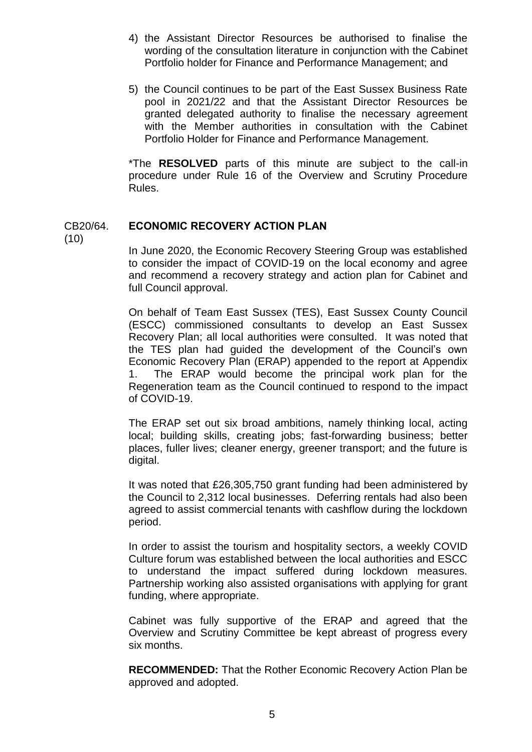- 4) the Assistant Director Resources be authorised to finalise the wording of the consultation literature in conjunction with the Cabinet Portfolio holder for Finance and Performance Management; and
- 5) the Council continues to be part of the East Sussex Business Rate pool in 2021/22 and that the Assistant Director Resources be granted delegated authority to finalise the necessary agreement with the Member authorities in consultation with the Cabinet Portfolio Holder for Finance and Performance Management.

\*The **RESOLVED** parts of this minute are subject to the call-in procedure under Rule 16 of the Overview and Scrutiny Procedure Rules.

## CB20/64. **ECONOMIC RECOVERY ACTION PLAN**

(10)

In June 2020, the Economic Recovery Steering Group was established to consider the impact of COVID-19 on the local economy and agree and recommend a recovery strategy and action plan for Cabinet and full Council approval.

On behalf of Team East Sussex (TES), East Sussex County Council (ESCC) commissioned consultants to develop an East Sussex Recovery Plan; all local authorities were consulted. It was noted that the TES plan had guided the development of the Council's own Economic Recovery Plan (ERAP) appended to the report at Appendix 1. The ERAP would become the principal work plan for the Regeneration team as the Council continued to respond to the impact of COVID-19.

The ERAP set out six broad ambitions, namely thinking local, acting local; building skills, creating jobs; fast-forwarding business; better places, fuller lives; cleaner energy, greener transport; and the future is digital.

It was noted that £26,305,750 grant funding had been administered by the Council to 2,312 local businesses. Deferring rentals had also been agreed to assist commercial tenants with cashflow during the lockdown period.

In order to assist the tourism and hospitality sectors, a weekly COVID Culture forum was established between the local authorities and ESCC to understand the impact suffered during lockdown measures. Partnership working also assisted organisations with applying for grant funding, where appropriate.

Cabinet was fully supportive of the ERAP and agreed that the Overview and Scrutiny Committee be kept abreast of progress every six months.

**RECOMMENDED:** That the Rother Economic Recovery Action Plan be approved and adopted.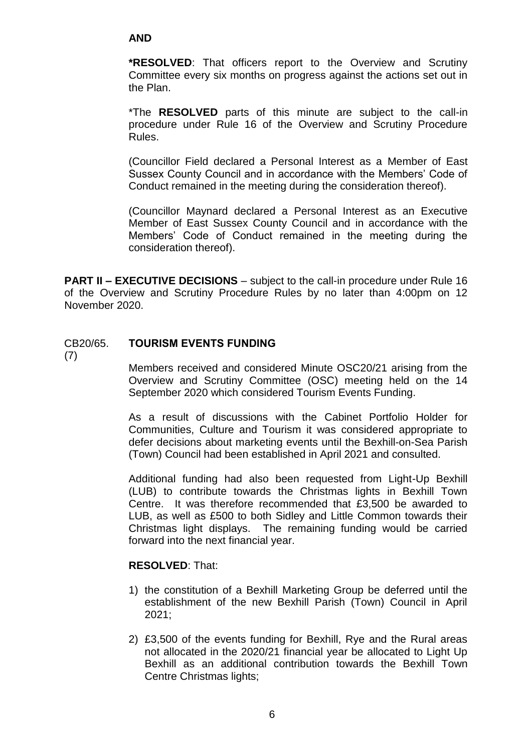### **AND**

**\*RESOLVED**: That officers report to the Overview and Scrutiny Committee every six months on progress against the actions set out in the Plan.

\*The **RESOLVED** parts of this minute are subject to the call-in procedure under Rule 16 of the Overview and Scrutiny Procedure Rules.

(Councillor Field declared a Personal Interest as a Member of East Sussex County Council and in accordance with the Members' Code of Conduct remained in the meeting during the consideration thereof).

(Councillor Maynard declared a Personal Interest as an Executive Member of East Sussex County Council and in accordance with the Members' Code of Conduct remained in the meeting during the consideration thereof).

**PART II – EXECUTIVE DECISIONS** – subject to the call-in procedure under Rule 16 of the Overview and Scrutiny Procedure Rules by no later than 4:00pm on 12 November 2020.

## CB20/65. **TOURISM EVENTS FUNDING**

(7)

Members received and considered Minute OSC20/21 arising from the Overview and Scrutiny Committee (OSC) meeting held on the 14 September 2020 which considered Tourism Events Funding.

As a result of discussions with the Cabinet Portfolio Holder for Communities, Culture and Tourism it was considered appropriate to defer decisions about marketing events until the Bexhill-on-Sea Parish (Town) Council had been established in April 2021 and consulted.

Additional funding had also been requested from Light-Up Bexhill (LUB) to contribute towards the Christmas lights in Bexhill Town Centre. It was therefore recommended that £3,500 be awarded to LUB, as well as £500 to both Sidley and Little Common towards their Christmas light displays. The remaining funding would be carried forward into the next financial year.

#### **RESOLVED**: That:

- 1) the constitution of a Bexhill Marketing Group be deferred until the establishment of the new Bexhill Parish (Town) Council in April 2021;
- 2) £3,500 of the events funding for Bexhill, Rye and the Rural areas not allocated in the 2020/21 financial year be allocated to Light Up Bexhill as an additional contribution towards the Bexhill Town Centre Christmas lights;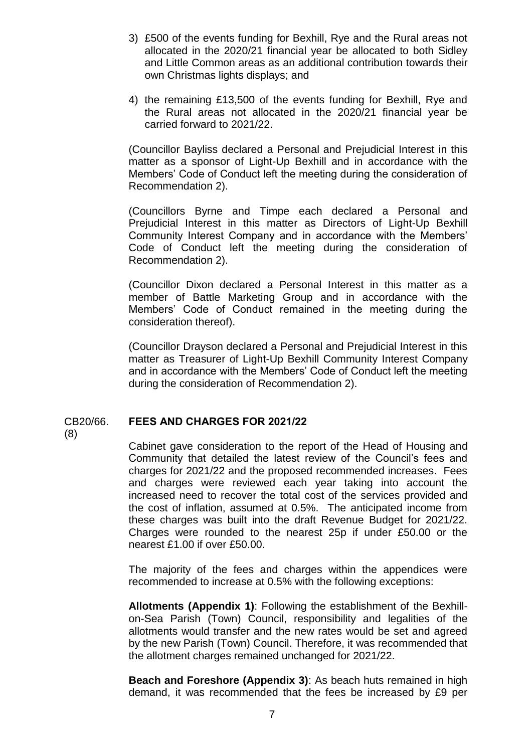- 3) £500 of the events funding for Bexhill, Rye and the Rural areas not allocated in the 2020/21 financial year be allocated to both Sidley and Little Common areas as an additional contribution towards their own Christmas lights displays; and
- 4) the remaining £13,500 of the events funding for Bexhill, Rye and the Rural areas not allocated in the 2020/21 financial year be carried forward to 2021/22.

(Councillor Bayliss declared a Personal and Prejudicial Interest in this matter as a sponsor of Light-Up Bexhill and in accordance with the Members' Code of Conduct left the meeting during the consideration of Recommendation 2).

(Councillors Byrne and Timpe each declared a Personal and Prejudicial Interest in this matter as Directors of Light-Up Bexhill Community Interest Company and in accordance with the Members' Code of Conduct left the meeting during the consideration of Recommendation 2).

(Councillor Dixon declared a Personal Interest in this matter as a member of Battle Marketing Group and in accordance with the Members' Code of Conduct remained in the meeting during the consideration thereof).

(Councillor Drayson declared a Personal and Prejudicial Interest in this matter as Treasurer of Light-Up Bexhill Community Interest Company and in accordance with the Members' Code of Conduct left the meeting during the consideration of Recommendation 2).

### CB20/66. **FEES AND CHARGES FOR 2021/22**

(8)

Cabinet gave consideration to the report of the Head of Housing and Community that detailed the latest review of the Council's fees and charges for 2021/22 and the proposed recommended increases. Fees and charges were reviewed each year taking into account the increased need to recover the total cost of the services provided and the cost of inflation, assumed at 0.5%. The anticipated income from these charges was built into the draft Revenue Budget for 2021/22. Charges were rounded to the nearest 25p if under £50.00 or the nearest £1.00 if over £50.00.

The majority of the fees and charges within the appendices were recommended to increase at 0.5% with the following exceptions:

**Allotments (Appendix 1)**: Following the establishment of the Bexhillon-Sea Parish (Town) Council, responsibility and legalities of the allotments would transfer and the new rates would be set and agreed by the new Parish (Town) Council. Therefore, it was recommended that the allotment charges remained unchanged for 2021/22.

**Beach and Foreshore (Appendix 3)**: As beach huts remained in high demand, it was recommended that the fees be increased by £9 per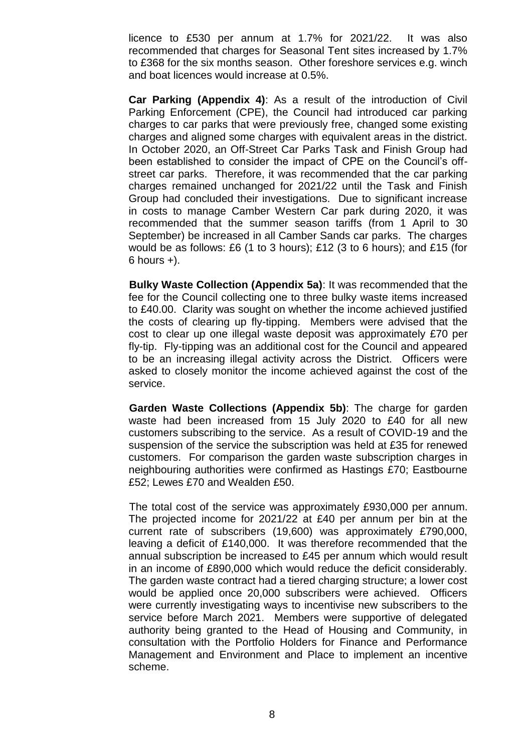licence to £530 per annum at 1.7% for 2021/22. It was also recommended that charges for Seasonal Tent sites increased by 1.7% to £368 for the six months season. Other foreshore services e.g. winch and boat licences would increase at 0.5%.

**Car Parking (Appendix 4)**: As a result of the introduction of Civil Parking Enforcement (CPE), the Council had introduced car parking charges to car parks that were previously free, changed some existing charges and aligned some charges with equivalent areas in the district. In October 2020, an Off-Street Car Parks Task and Finish Group had been established to consider the impact of CPE on the Council's offstreet car parks. Therefore, it was recommended that the car parking charges remained unchanged for 2021/22 until the Task and Finish Group had concluded their investigations. Due to significant increase in costs to manage Camber Western Car park during 2020, it was recommended that the summer season tariffs (from 1 April to 30 September) be increased in all Camber Sands car parks. The charges would be as follows: £6 (1 to 3 hours); £12 (3 to 6 hours); and £15 (for  $6$  hours  $+$ ).

**Bulky Waste Collection (Appendix 5a)**: It was recommended that the fee for the Council collecting one to three bulky waste items increased to £40.00. Clarity was sought on whether the income achieved justified the costs of clearing up fly-tipping. Members were advised that the cost to clear up one illegal waste deposit was approximately £70 per fly-tip. Fly-tipping was an additional cost for the Council and appeared to be an increasing illegal activity across the District. Officers were asked to closely monitor the income achieved against the cost of the service.

**Garden Waste Collections (Appendix 5b)**: The charge for garden waste had been increased from 15 July 2020 to £40 for all new customers subscribing to the service. As a result of COVID-19 and the suspension of the service the subscription was held at £35 for renewed customers. For comparison the garden waste subscription charges in neighbouring authorities were confirmed as Hastings £70; Eastbourne £52; Lewes £70 and Wealden £50.

The total cost of the service was approximately £930,000 per annum. The projected income for 2021/22 at £40 per annum per bin at the current rate of subscribers (19,600) was approximately £790,000, leaving a deficit of £140,000. It was therefore recommended that the annual subscription be increased to £45 per annum which would result in an income of £890,000 which would reduce the deficit considerably. The garden waste contract had a tiered charging structure; a lower cost would be applied once 20,000 subscribers were achieved. Officers were currently investigating ways to incentivise new subscribers to the service before March 2021. Members were supportive of delegated authority being granted to the Head of Housing and Community, in consultation with the Portfolio Holders for Finance and Performance Management and Environment and Place to implement an incentive scheme.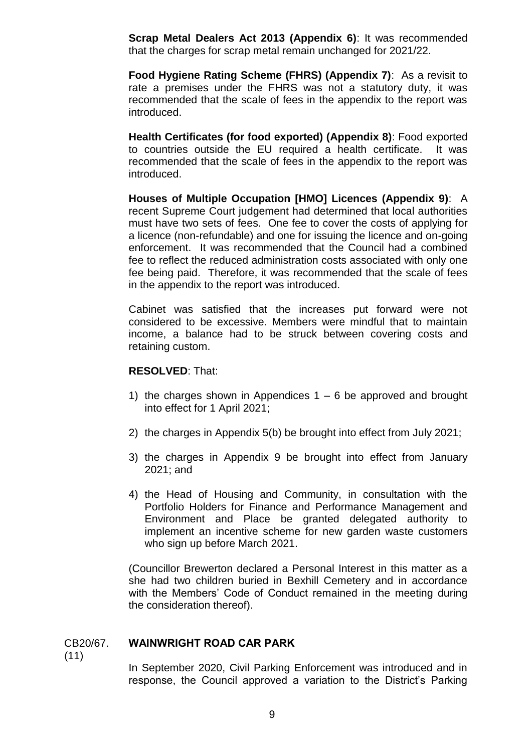**Scrap Metal Dealers Act 2013 (Appendix 6)**: It was recommended that the charges for scrap metal remain unchanged for 2021/22.

**Food Hygiene Rating Scheme (FHRS) (Appendix 7)**:As a revisit to rate a premises under the FHRS was not a statutory duty, it was recommended that the scale of fees in the appendix to the report was introduced.

**Health Certificates (for food exported) (Appendix 8)**: Food exported to countries outside the EU required a health certificate. It was recommended that the scale of fees in the appendix to the report was introduced.

**Houses of Multiple Occupation [HMO] Licences (Appendix 9)**: A recent Supreme Court judgement had determined that local authorities must have two sets of fees. One fee to cover the costs of applying for a licence (non-refundable) and one for issuing the licence and on-going enforcement. It was recommended that the Council had a combined fee to reflect the reduced administration costs associated with only one fee being paid. Therefore, it was recommended that the scale of fees in the appendix to the report was introduced.

Cabinet was satisfied that the increases put forward were not considered to be excessive. Members were mindful that to maintain income, a balance had to be struck between covering costs and retaining custom.

#### **RESOLVED**: That:

- 1) the charges shown in Appendices  $1 6$  be approved and brought into effect for 1 April 2021;
- 2) the charges in Appendix 5(b) be brought into effect from July 2021;
- 3) the charges in Appendix 9 be brought into effect from January 2021; and
- 4) the Head of Housing and Community, in consultation with the Portfolio Holders for Finance and Performance Management and Environment and Place be granted delegated authority to implement an incentive scheme for new garden waste customers who sign up before March 2021.

(Councillor Brewerton declared a Personal Interest in this matter as a she had two children buried in Bexhill Cemetery and in accordance with the Members' Code of Conduct remained in the meeting during the consideration thereof).

#### CB20/67. **WAINWRIGHT ROAD CAR PARK**

(11)

In September 2020, Civil Parking Enforcement was introduced and in response, the Council approved a variation to the District's Parking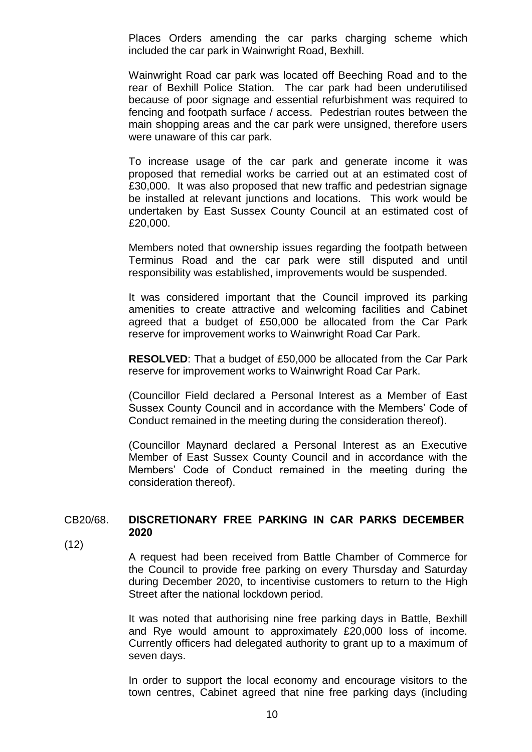Places Orders amending the car parks charging scheme which included the car park in Wainwright Road, Bexhill.

Wainwright Road car park was located off Beeching Road and to the rear of Bexhill Police Station. The car park had been underutilised because of poor signage and essential refurbishment was required to fencing and footpath surface / access. Pedestrian routes between the main shopping areas and the car park were unsigned, therefore users were unaware of this car park.

To increase usage of the car park and generate income it was proposed that remedial works be carried out at an estimated cost of £30,000. It was also proposed that new traffic and pedestrian signage be installed at relevant junctions and locations. This work would be undertaken by East Sussex County Council at an estimated cost of £20,000.

Members noted that ownership issues regarding the footpath between Terminus Road and the car park were still disputed and until responsibility was established, improvements would be suspended.

It was considered important that the Council improved its parking amenities to create attractive and welcoming facilities and Cabinet agreed that a budget of £50,000 be allocated from the Car Park reserve for improvement works to Wainwright Road Car Park.

**RESOLVED**: That a budget of £50,000 be allocated from the Car Park reserve for improvement works to Wainwright Road Car Park.

(Councillor Field declared a Personal Interest as a Member of East Sussex County Council and in accordance with the Members' Code of Conduct remained in the meeting during the consideration thereof).

(Councillor Maynard declared a Personal Interest as an Executive Member of East Sussex County Council and in accordance with the Members' Code of Conduct remained in the meeting during the consideration thereof).

## CB20/68. **DISCRETIONARY FREE PARKING IN CAR PARKS DECEMBER 2020**

 $(12)$ 

A request had been received from Battle Chamber of Commerce for the Council to provide free parking on every Thursday and Saturday during December 2020, to incentivise customers to return to the High Street after the national lockdown period.

It was noted that authorising nine free parking days in Battle, Bexhill and Rye would amount to approximately £20,000 loss of income. Currently officers had delegated authority to grant up to a maximum of seven days.

In order to support the local economy and encourage visitors to the town centres, Cabinet agreed that nine free parking days (including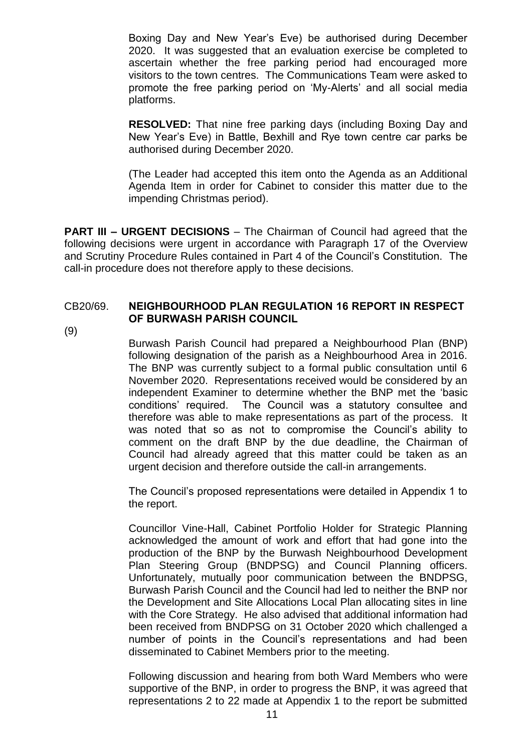Boxing Day and New Year's Eve) be authorised during December 2020. It was suggested that an evaluation exercise be completed to ascertain whether the free parking period had encouraged more visitors to the town centres. The Communications Team were asked to promote the free parking period on 'My-Alerts' and all social media platforms.

**RESOLVED:** That nine free parking days (including Boxing Day and New Year's Eve) in Battle, Bexhill and Rye town centre car parks be authorised during December 2020.

(The Leader had accepted this item onto the Agenda as an Additional Agenda Item in order for Cabinet to consider this matter due to the impending Christmas period).

**PART III – URGENT DECISIONS** – The Chairman of Council had agreed that the following decisions were urgent in accordance with Paragraph 17 of the Overview and Scrutiny Procedure Rules contained in Part 4 of the Council's Constitution. The call-in procedure does not therefore apply to these decisions.

### CB20/69. **NEIGHBOURHOOD PLAN REGULATION 16 REPORT IN RESPECT OF BURWASH PARISH COUNCIL**

(9)

Burwash Parish Council had prepared a Neighbourhood Plan (BNP) following designation of the parish as a Neighbourhood Area in 2016. The BNP was currently subject to a formal public consultation until 6 November 2020. Representations received would be considered by an independent Examiner to determine whether the BNP met the 'basic conditions' required. The Council was a statutory consultee and therefore was able to make representations as part of the process. It was noted that so as not to compromise the Council's ability to comment on the draft BNP by the due deadline, the Chairman of Council had already agreed that this matter could be taken as an urgent decision and therefore outside the call-in arrangements.

The Council's proposed representations were detailed in Appendix 1 to the report.

Councillor Vine-Hall, Cabinet Portfolio Holder for Strategic Planning acknowledged the amount of work and effort that had gone into the production of the BNP by the Burwash Neighbourhood Development Plan Steering Group (BNDPSG) and Council Planning officers. Unfortunately, mutually poor communication between the BNDPSG, Burwash Parish Council and the Council had led to neither the BNP nor the Development and Site Allocations Local Plan allocating sites in line with the Core Strategy. He also advised that additional information had been received from BNDPSG on 31 October 2020 which challenged a number of points in the Council's representations and had been disseminated to Cabinet Members prior to the meeting.

Following discussion and hearing from both Ward Members who were supportive of the BNP, in order to progress the BNP, it was agreed that representations 2 to 22 made at Appendix 1 to the report be submitted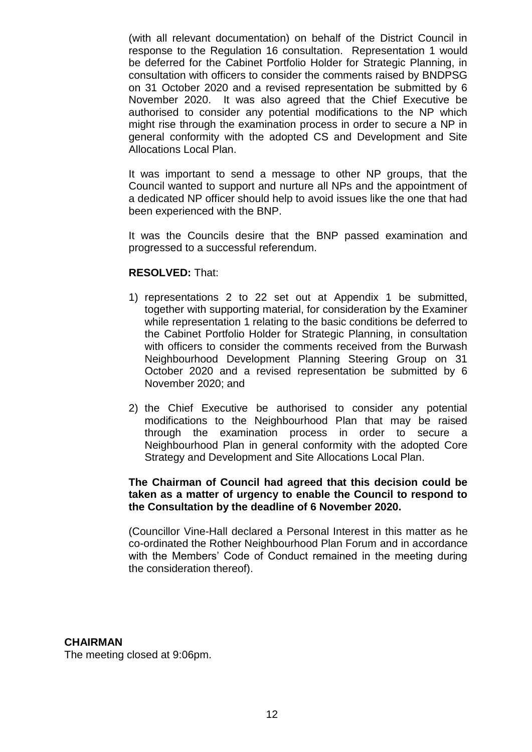(with all relevant documentation) on behalf of the District Council in response to the Regulation 16 consultation. Representation 1 would be deferred for the Cabinet Portfolio Holder for Strategic Planning, in consultation with officers to consider the comments raised by BNDPSG on 31 October 2020 and a revised representation be submitted by 6 November 2020. It was also agreed that the Chief Executive be authorised to consider any potential modifications to the NP which might rise through the examination process in order to secure a NP in general conformity with the adopted CS and Development and Site Allocations Local Plan.

It was important to send a message to other NP groups, that the Council wanted to support and nurture all NPs and the appointment of a dedicated NP officer should help to avoid issues like the one that had been experienced with the BNP.

It was the Councils desire that the BNP passed examination and progressed to a successful referendum.

#### **RESOLVED:** That:

- 1) representations 2 to 22 set out at Appendix 1 be submitted, together with supporting material, for consideration by the Examiner while representation 1 relating to the basic conditions be deferred to the Cabinet Portfolio Holder for Strategic Planning, in consultation with officers to consider the comments received from the Burwash Neighbourhood Development Planning Steering Group on 31 October 2020 and a revised representation be submitted by 6 November 2020; and
- 2) the Chief Executive be authorised to consider any potential modifications to the Neighbourhood Plan that may be raised through the examination process in order to secure a Neighbourhood Plan in general conformity with the adopted Core Strategy and Development and Site Allocations Local Plan.

### **The Chairman of Council had agreed that this decision could be taken as a matter of urgency to enable the Council to respond to the Consultation by the deadline of 6 November 2020.**

(Councillor Vine-Hall declared a Personal Interest in this matter as he co-ordinated the Rother Neighbourhood Plan Forum and in accordance with the Members' Code of Conduct remained in the meeting during the consideration thereof).

### **CHAIRMAN**

The meeting closed at 9:06pm.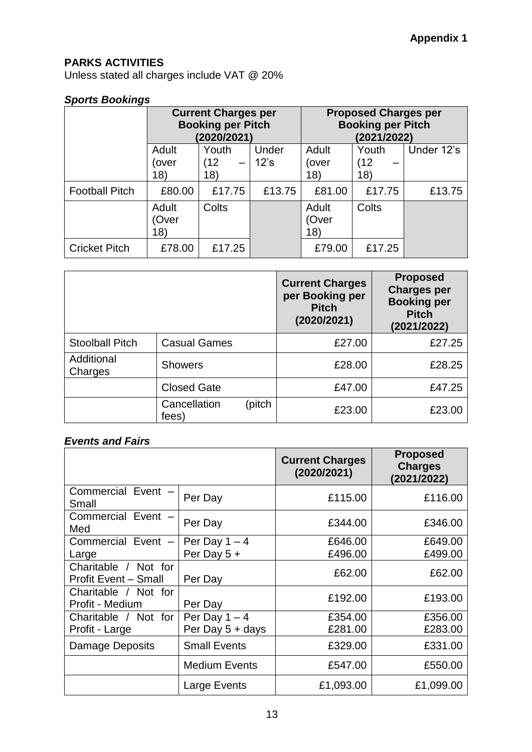# **PARKS ACTIVITIES**

Unless stated all charges include VAT @ 20%

## *Sports Bookings*

|                       | <b>Current Charges per</b><br><b>Booking per Pitch</b><br>(2020/2021) |                      | <b>Proposed Charges per</b><br><b>Booking per Pitch</b><br>(2021/2022) |                       |                     |            |
|-----------------------|-----------------------------------------------------------------------|----------------------|------------------------------------------------------------------------|-----------------------|---------------------|------------|
|                       | Adult<br>over)<br>18)                                                 | Youth<br>(12)<br>18) | Under<br>12's                                                          | Adult<br>(over<br>18) | Youth<br>(12<br>18) | Under 12's |
| <b>Football Pitch</b> | £80.00                                                                | £17.75               | £13.75                                                                 | £81.00                | £17.75              | £13.75     |
|                       | Adult<br>(Over<br>18)                                                 | Colts                |                                                                        | Adult<br>(Over<br>18) | Colts               |            |
| <b>Cricket Pitch</b>  | £78.00                                                                | £17.25               |                                                                        | £79.00                | £17.25              |            |

|                        |                       |        | <b>Current Charges</b><br>per Booking per<br><b>Pitch</b><br>(2020/2021) | <b>Proposed</b><br><b>Charges per</b><br><b>Booking per</b><br><b>Pitch</b><br>(2021/2022) |
|------------------------|-----------------------|--------|--------------------------------------------------------------------------|--------------------------------------------------------------------------------------------|
| <b>Stoolball Pitch</b> | <b>Casual Games</b>   |        | £27.00                                                                   | £27.25                                                                                     |
| Additional<br>Charges  | <b>Showers</b>        |        | £28.00                                                                   | £28.25                                                                                     |
|                        | <b>Closed Gate</b>    |        | £47.00                                                                   | £47.25                                                                                     |
|                        | Cancellation<br>fees) | (pitch | £23.00                                                                   | £23.00                                                                                     |

# *Events and Fairs*

|                                                     |                      | <b>Current Charges</b><br>(2020/2021) | <b>Proposed</b><br><b>Charges</b><br>(2021/2022) |
|-----------------------------------------------------|----------------------|---------------------------------------|--------------------------------------------------|
| Commercial Event -<br>Small                         | Per Day              | £115.00                               | £116.00                                          |
| Commercial Event -<br>Med                           | Per Day              | £344.00                               | £346.00                                          |
| Commercial Event -                                  | Per Day $1 - 4$      | £646.00                               | £649.00                                          |
| Large                                               | Per Day $5 +$        | £496.00                               | £499.00                                          |
| Charitable / Not for<br><b>Profit Event - Small</b> | Per Day              | £62.00                                | £62.00                                           |
| Charitable / Not for<br>Profit - Medium             | Per Day              | £192.00                               | £193.00                                          |
| Charitable / Not for                                | Per Day $1 - 4$      | £354.00                               | £356.00                                          |
| Profit - Large                                      | Per Day 5 + days     | £281.00                               | £283.00                                          |
| <b>Damage Deposits</b>                              | <b>Small Events</b>  | £329.00                               | £331.00                                          |
|                                                     | <b>Medium Events</b> | £547.00                               | £550.00                                          |
|                                                     | Large Events         | £1,093.00                             | £1,099.00                                        |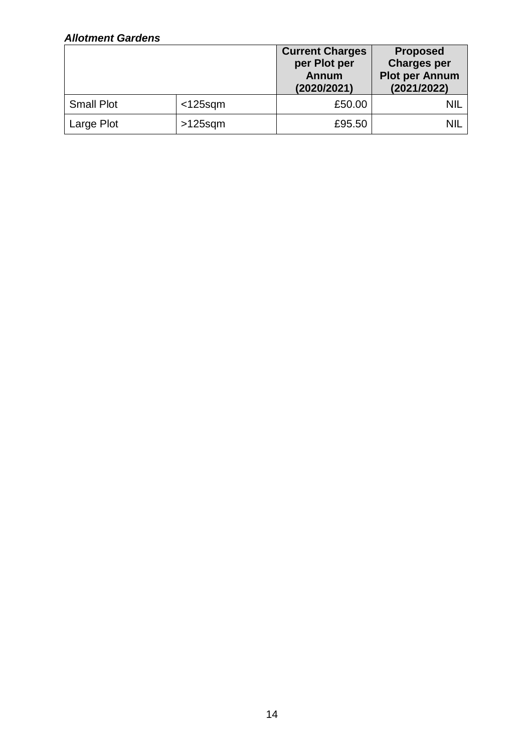# *Allotment Gardens*

|                   |            | <b>Current Charges</b><br>per Plot per<br><b>Annum</b><br>(2020/2021) | <b>Proposed</b><br><b>Charges per</b><br><b>Plot per Annum</b><br>(2021/2022) |
|-------------------|------------|-----------------------------------------------------------------------|-------------------------------------------------------------------------------|
| <b>Small Plot</b> | $<$ 125sqm | £50.00                                                                | nil                                                                           |
| Large Plot        | $>125$ sqm | £95.50                                                                | <b>NIL</b>                                                                    |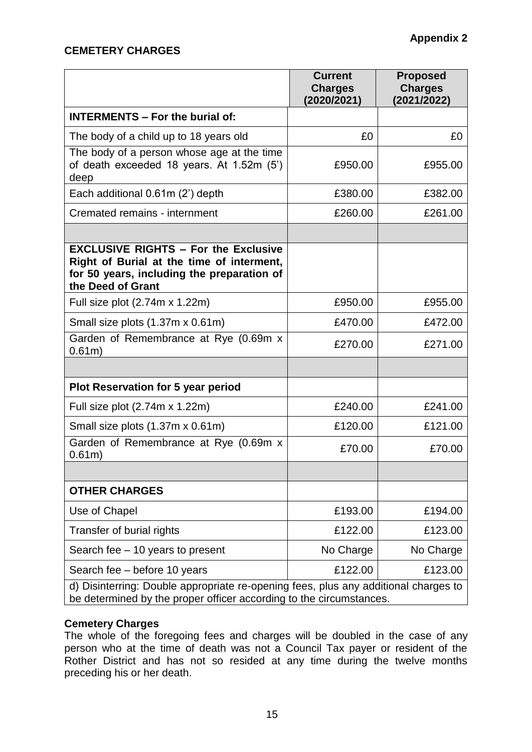# **CEMETERY CHARGES**

|                                                                                                                                                             | <b>Current</b><br><b>Charges</b><br>(2020/2021) | <b>Proposed</b><br><b>Charges</b><br>(2021/2022) |
|-------------------------------------------------------------------------------------------------------------------------------------------------------------|-------------------------------------------------|--------------------------------------------------|
| <b>INTERMENTS - For the burial of:</b>                                                                                                                      |                                                 |                                                  |
| The body of a child up to 18 years old                                                                                                                      | £0                                              | £0                                               |
| The body of a person whose age at the time<br>of death exceeded 18 years. At 1.52m (5')<br>deep                                                             | £950.00                                         | £955.00                                          |
| Each additional 0.61m (2') depth                                                                                                                            | £380.00                                         | £382.00                                          |
| Cremated remains - internment                                                                                                                               | £260.00                                         | £261.00                                          |
|                                                                                                                                                             |                                                 |                                                  |
| <b>EXCLUSIVE RIGHTS - For the Exclusive</b><br>Right of Burial at the time of interment,<br>for 50 years, including the preparation of<br>the Deed of Grant |                                                 |                                                  |
| Full size plot (2.74m x 1.22m)                                                                                                                              | £950.00                                         | £955.00                                          |
| Small size plots (1.37m x 0.61m)                                                                                                                            | £470.00                                         | £472.00                                          |
| Garden of Remembrance at Rye (0.69m x<br>0.61m)                                                                                                             | £270.00                                         | £271.00                                          |
|                                                                                                                                                             |                                                 |                                                  |
| <b>Plot Reservation for 5 year period</b>                                                                                                                   |                                                 |                                                  |
| Full size plot (2.74m x 1.22m)                                                                                                                              | £240.00                                         | £241.00                                          |
| Small size plots (1.37m x 0.61m)                                                                                                                            | £120.00                                         | £121.00                                          |
| Garden of Remembrance at Rye (0.69m x<br>$0.61m$ )                                                                                                          | £70.00                                          | £70.00                                           |
|                                                                                                                                                             |                                                 |                                                  |
| <b>OTHER CHARGES</b>                                                                                                                                        |                                                 |                                                  |
| Use of Chapel                                                                                                                                               | £193.00                                         | £194.00                                          |
| Transfer of burial rights                                                                                                                                   | £122.00                                         | £123.00                                          |
| Search fee - 10 years to present                                                                                                                            | No Charge                                       | No Charge                                        |
| Search fee - before 10 years                                                                                                                                | £122.00                                         | £123.00                                          |
| d) Disinterring: Double appropriate re-opening fees, plus any additional charges to<br>be determined by the proper officer according to the circumstances.  |                                                 |                                                  |

## **Cemetery Charges**

The whole of the foregoing fees and charges will be doubled in the case of any person who at the time of death was not a Council Tax payer or resident of the Rother District and has not so resided at any time during the twelve months preceding his or her death.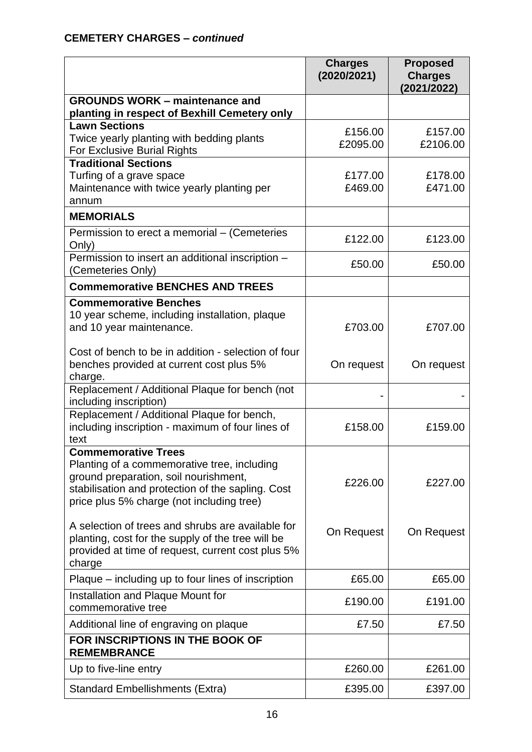|                                                                                                                                                                                                                      | <b>Charges</b><br>(2020/2021) | <b>Proposed</b><br><b>Charges</b><br>(2021/2022) |
|----------------------------------------------------------------------------------------------------------------------------------------------------------------------------------------------------------------------|-------------------------------|--------------------------------------------------|
| <b>GROUNDS WORK – maintenance and</b><br>planting in respect of Bexhill Cemetery only                                                                                                                                |                               |                                                  |
| <b>Lawn Sections</b><br>Twice yearly planting with bedding plants<br>For Exclusive Burial Rights                                                                                                                     | £156.00<br>£2095.00           | £157.00<br>£2106.00                              |
| <b>Traditional Sections</b><br>Turfing of a grave space<br>Maintenance with twice yearly planting per<br>annum                                                                                                       | £177.00<br>£469.00            | £178.00<br>£471.00                               |
| <b>MEMORIALS</b>                                                                                                                                                                                                     |                               |                                                  |
| Permission to erect a memorial - (Cemeteries<br>Only)                                                                                                                                                                | £122.00                       | £123.00                                          |
| Permission to insert an additional inscription -<br>(Cemeteries Only)                                                                                                                                                | £50.00                        | £50.00                                           |
| <b>Commemorative BENCHES AND TREES</b>                                                                                                                                                                               |                               |                                                  |
| <b>Commemorative Benches</b><br>10 year scheme, including installation, plaque<br>and 10 year maintenance.<br>Cost of bench to be in addition - selection of four                                                    | £703.00                       | £707.00                                          |
| benches provided at current cost plus 5%<br>charge.                                                                                                                                                                  | On request                    | On request                                       |
| Replacement / Additional Plaque for bench (not<br>including inscription)                                                                                                                                             |                               |                                                  |
| Replacement / Additional Plaque for bench,<br>including inscription - maximum of four lines of<br>text                                                                                                               | £158.00                       | £159.00                                          |
| <b>Commemorative Trees</b><br>Planting of a commemorative tree, including<br>ground preparation, soil nourishment,<br>stabilisation and protection of the sapling. Cost<br>price plus 5% charge (not including tree) | £226.00                       | £227.00                                          |
| A selection of trees and shrubs are available for<br>planting, cost for the supply of the tree will be<br>provided at time of request, current cost plus 5%<br>charge                                                | On Request                    | On Request                                       |
| Plaque – including up to four lines of inscription                                                                                                                                                                   | £65.00                        | £65.00                                           |
| Installation and Plaque Mount for<br>commemorative tree                                                                                                                                                              | £190.00                       | £191.00                                          |
| Additional line of engraving on plaque                                                                                                                                                                               | £7.50                         | £7.50                                            |
| FOR INSCRIPTIONS IN THE BOOK OF<br><b>REMEMBRANCE</b>                                                                                                                                                                |                               |                                                  |
| Up to five-line entry                                                                                                                                                                                                | £260.00                       | £261.00                                          |
| <b>Standard Embellishments (Extra)</b>                                                                                                                                                                               | £395.00                       | £397.00                                          |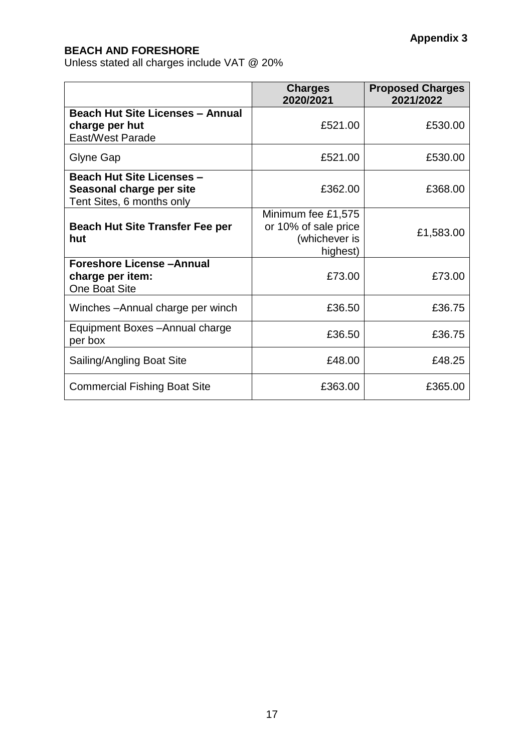# **BEACH AND FORESHORE**

Unless stated all charges include VAT @ 20%

|                                                                                           | <b>Charges</b><br>2020/2021                                             | <b>Proposed Charges</b><br>2021/2022 |
|-------------------------------------------------------------------------------------------|-------------------------------------------------------------------------|--------------------------------------|
| <b>Beach Hut Site Licenses - Annual</b><br>charge per hut<br>East/West Parade             | £521.00                                                                 | £530.00                              |
| Glyne Gap                                                                                 | £521.00                                                                 | £530.00                              |
| <b>Beach Hut Site Licenses -</b><br>Seasonal charge per site<br>Tent Sites, 6 months only | £362.00                                                                 | £368.00                              |
| <b>Beach Hut Site Transfer Fee per</b><br>hut                                             | Minimum fee £1,575<br>or 10% of sale price<br>(whichever is<br>highest) | £1,583.00                            |
| <b>Foreshore License-Annual</b><br>charge per item:<br><b>One Boat Site</b>               | £73.00                                                                  | £73.00                               |
| Winches - Annual charge per winch                                                         | £36.50                                                                  | £36.75                               |
| Equipment Boxes - Annual charge<br>per box                                                | £36.50                                                                  | £36.75                               |
| Sailing/Angling Boat Site                                                                 | £48.00                                                                  | £48.25                               |
| <b>Commercial Fishing Boat Site</b>                                                       | £363.00                                                                 | £365.00                              |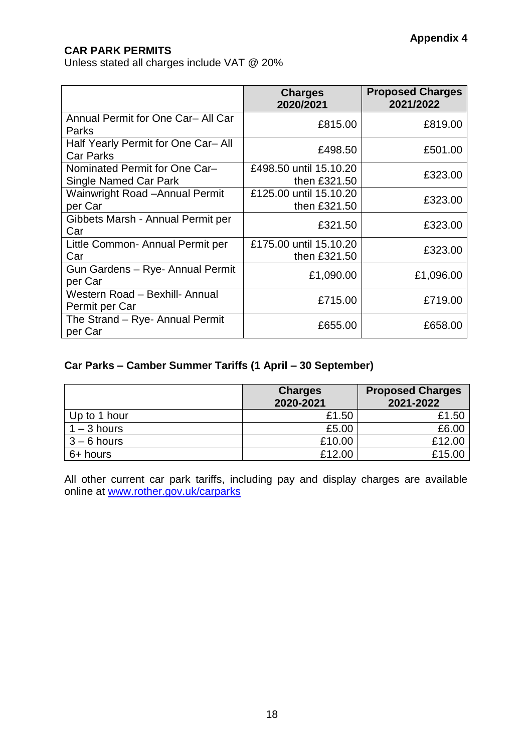# **CAR PARK PERMITS**

Unless stated all charges include VAT @ 20%

|                                                               | <b>Charges</b><br>2020/2021            | <b>Proposed Charges</b><br>2021/2022 |
|---------------------------------------------------------------|----------------------------------------|--------------------------------------|
| Annual Permit for One Car- All Car<br>Parks                   | £815.00                                | £819.00                              |
| Half Yearly Permit for One Car-All<br><b>Car Parks</b>        | £498.50                                | £501.00                              |
| Nominated Permit for One Car-<br><b>Single Named Car Park</b> | £498.50 until 15.10.20<br>then £321.50 | £323.00                              |
| <b>Wainwright Road -Annual Permit</b><br>per Car              | £125.00 until 15.10.20<br>then £321.50 | £323.00                              |
| Gibbets Marsh - Annual Permit per<br>Car                      | £321.50                                | £323.00                              |
| Little Common- Annual Permit per<br>Car                       | £175.00 until 15.10.20<br>then £321.50 | £323.00                              |
| Gun Gardens - Rye- Annual Permit<br>per Car                   | £1,090.00                              | £1,096.00                            |
| Western Road - Bexhill- Annual<br>Permit per Car              | £715.00                                | £719.00                              |
| The Strand - Rye- Annual Permit<br>per Car                    | £655.00                                | £658.00                              |

## **Car Parks – Camber Summer Tariffs (1 April – 30 September)**

|               | <b>Charges</b><br>2020-2021 | <b>Proposed Charges</b><br>2021-2022 |
|---------------|-----------------------------|--------------------------------------|
| Up to 1 hour  | £1.50                       | £1.50                                |
| $1 - 3$ hours | £5.00                       | £6.00                                |
| $3 - 6$ hours | £10.00                      | £12.00                               |
| 6+ hours      | £12.00                      | £15.00                               |

All other current car park tariffs, including pay and display charges are available online at [www.rother.gov.uk/carparks](http://www.rother.gov.uk/carparks)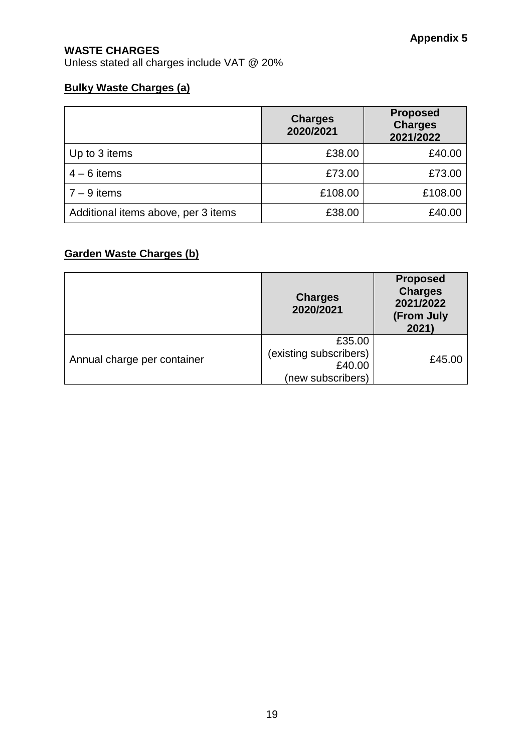# **WASTE CHARGES**

Unless stated all charges include VAT @ 20%

# **Bulky Waste Charges (a)**

|                                     | <b>Charges</b><br>2020/2021 | <b>Proposed</b><br><b>Charges</b><br>2021/2022 |
|-------------------------------------|-----------------------------|------------------------------------------------|
| Up to 3 items                       | £38.00                      | £40.00                                         |
| $4 - 6$ items                       | £73.00                      | £73.00                                         |
| $7 - 9$ items                       | £108.00                     | £108.00                                        |
| Additional items above, per 3 items | £38.00                      | £40.00                                         |

# **Garden Waste Charges (b)**

|                             | <b>Charges</b><br>2020/2021                                     | <b>Proposed</b><br><b>Charges</b><br>2021/2022<br>(From July<br>2021) |
|-----------------------------|-----------------------------------------------------------------|-----------------------------------------------------------------------|
| Annual charge per container | £35.00<br>(existing subscribers)<br>£40.00<br>(new subscribers) | £45.00                                                                |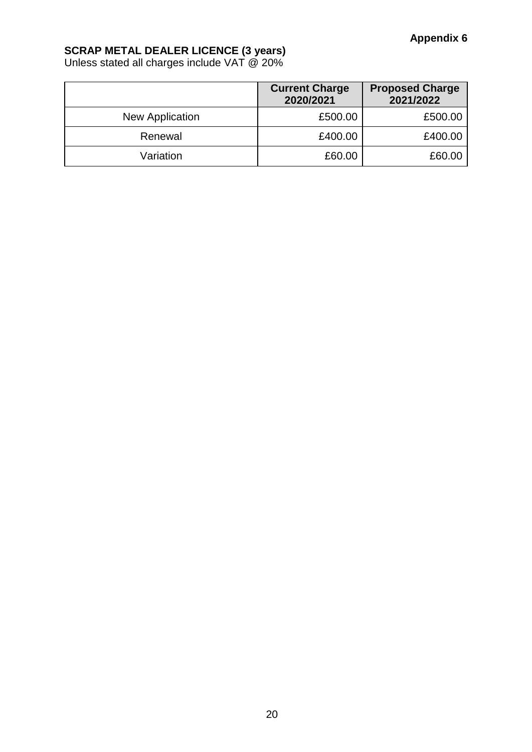## **SCRAP METAL DEALER LICENCE (3 years)**

Unless stated all charges include VAT @ 20%

|                 | <b>Current Charge</b><br>2020/2021 | <b>Proposed Charge</b><br>2021/2022 |
|-----------------|------------------------------------|-------------------------------------|
| New Application | £500.00                            | £500.00                             |
| Renewal         | £400.00                            | £400.00                             |
| Variation       | £60.00                             | £60.00                              |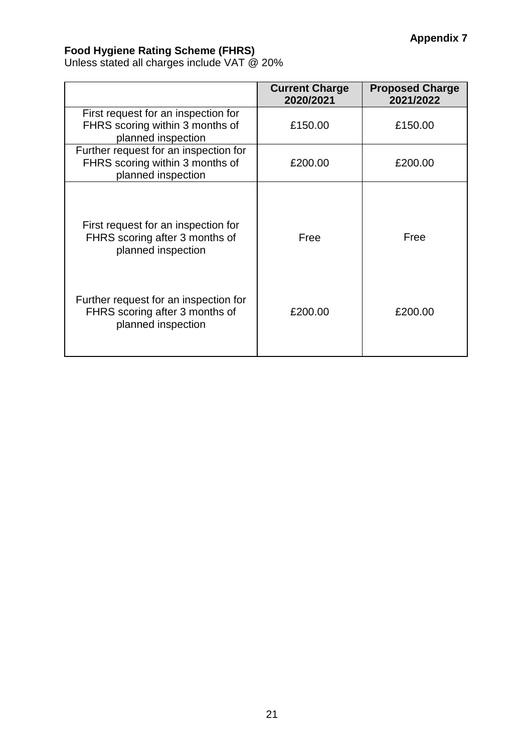### **Food Hygiene Rating Scheme (FHRS)**

Unless stated all charges include VAT @ 20%

|                                                                                                | <b>Current Charge</b><br>2020/2021 | <b>Proposed Charge</b><br>2021/2022 |
|------------------------------------------------------------------------------------------------|------------------------------------|-------------------------------------|
| First request for an inspection for<br>FHRS scoring within 3 months of<br>planned inspection   | £150.00                            | £150.00                             |
| Further request for an inspection for<br>FHRS scoring within 3 months of<br>planned inspection | £200.00                            | £200.00                             |
| First request for an inspection for<br>FHRS scoring after 3 months of<br>planned inspection    | Free                               | Free                                |
| Further request for an inspection for<br>FHRS scoring after 3 months of<br>planned inspection  | £200.00                            | £200.00                             |